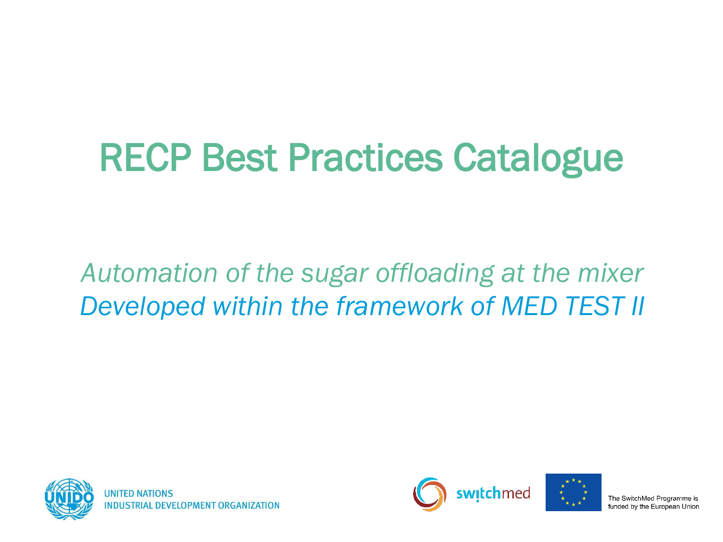# RECP Best Practices Catalogue

#### *Automation of the sugar offloading at the mixer Developed within the framework of MED TEST II*





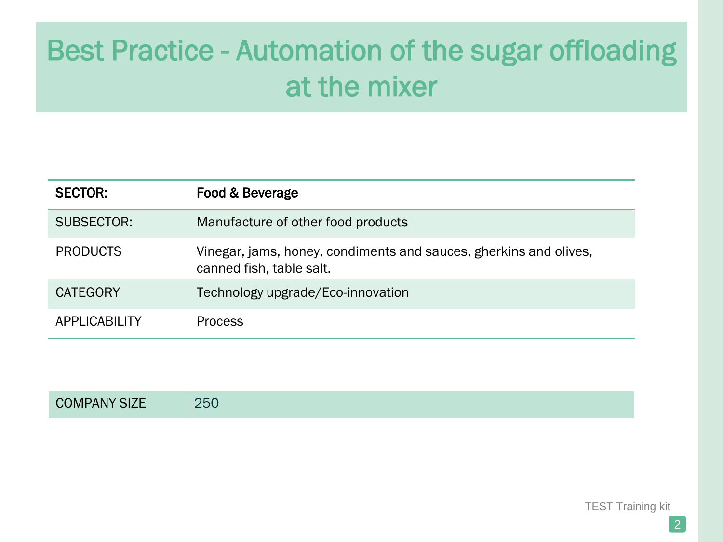| <b>SECTOR:</b>       | Food & Beverage                                                                               |
|----------------------|-----------------------------------------------------------------------------------------------|
| SUBSECTOR:           | Manufacture of other food products                                                            |
| <b>PRODUCTS</b>      | Vinegar, jams, honey, condiments and sauces, gherkins and olives,<br>canned fish, table salt. |
| <b>CATEGORY</b>      | Technology upgrade/Eco-innovation                                                             |
| <b>APPLICABILITY</b> | <b>Process</b>                                                                                |

| <b>COMPANY SIZE</b> | 250 |
|---------------------|-----|
|---------------------|-----|

TEST Training kit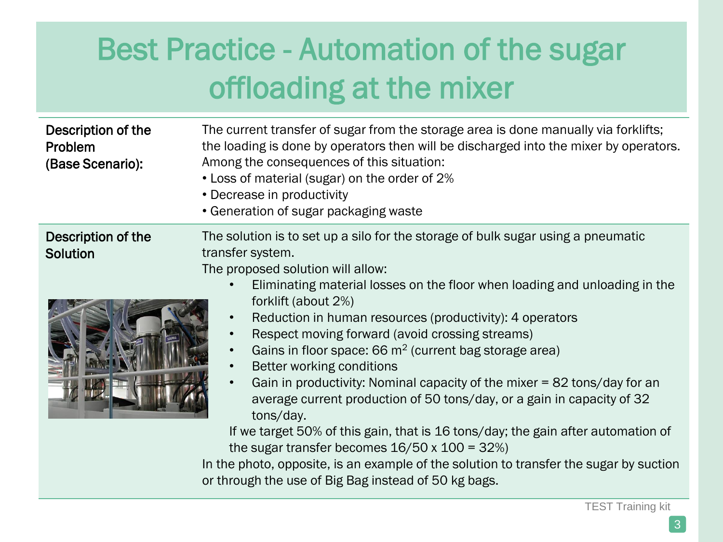| Description of the<br>Problem<br>(Base Scenario): | The current transfer of sugar from the storage area is done manually via forklifts;<br>the loading is done by operators then will be discharged into the mixer by operators.<br>Among the consequences of this situation:<br>• Loss of material (sugar) on the order of 2%<br>• Decrease in productivity<br>• Generation of sugar packaging waste |
|---------------------------------------------------|---------------------------------------------------------------------------------------------------------------------------------------------------------------------------------------------------------------------------------------------------------------------------------------------------------------------------------------------------|
| Description of the                                | The solution is to set up a silo for the storage of bulk sugar using a pneumatic                                                                                                                                                                                                                                                                  |
| <b>Solution</b>                                   | transfer system.                                                                                                                                                                                                                                                                                                                                  |
|                                                   | The proposed solution will allow:                                                                                                                                                                                                                                                                                                                 |
|                                                   | Eliminating material losses on the floor when loading and unloading in the                                                                                                                                                                                                                                                                        |
|                                                   | forklift (about 2%)<br>Reduction in human resources (productivity): 4 operators<br>$\bullet$                                                                                                                                                                                                                                                      |
|                                                   | Respect moving forward (avoid crossing streams)<br>$\bullet$                                                                                                                                                                                                                                                                                      |
|                                                   | Gains in floor space: 66 $m2$ (current bag storage area)                                                                                                                                                                                                                                                                                          |
|                                                   | Better working conditions<br>$\bullet$                                                                                                                                                                                                                                                                                                            |
|                                                   | Gain in productivity: Nominal capacity of the mixer = 82 tons/day for an<br>$\bullet$                                                                                                                                                                                                                                                             |
|                                                   | average current production of 50 tons/day, or a gain in capacity of 32                                                                                                                                                                                                                                                                            |
|                                                   | tons/day.                                                                                                                                                                                                                                                                                                                                         |
|                                                   | If we target 50% of this gain, that is 16 tons/day; the gain after automation of                                                                                                                                                                                                                                                                  |
|                                                   | the sugar transfer becomes $16/50 \times 100 = 32\%)$                                                                                                                                                                                                                                                                                             |
|                                                   | In the photo, opposite, is an example of the solution to transfer the sugar by suction                                                                                                                                                                                                                                                            |

or through the use of Big Bag instead of 50 kg bags.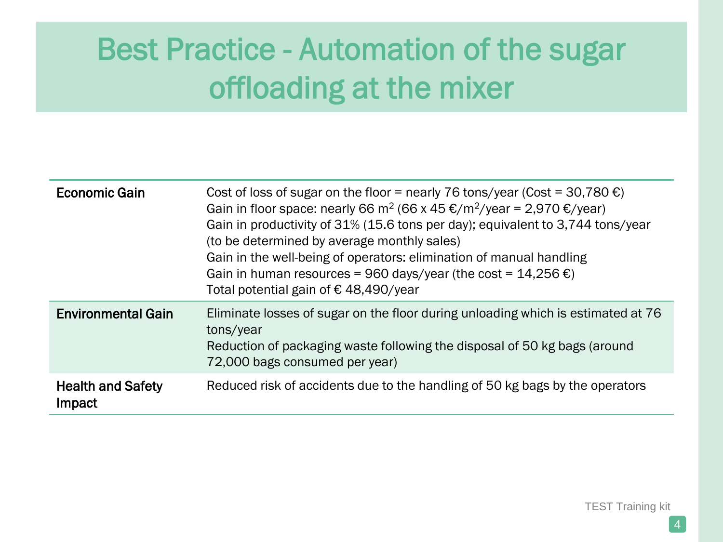| <b>Economic Gain</b>               | Cost of loss of sugar on the floor = nearly 76 tons/year (Cost = 30,780 $\epsilon$ )<br>Gain in floor space: nearly 66 m <sup>2</sup> (66 x 45 €/m <sup>2</sup> /year = 2,970 €/year)<br>Gain in productivity of 31% (15.6 tons per day); equivalent to 3,744 tons/year<br>(to be determined by average monthly sales)<br>Gain in the well-being of operators: elimination of manual handling<br>Gain in human resources = 960 days/year (the cost = $14,256 \in \mathbb{C}$ )<br>Total potential gain of €48,490/year |
|------------------------------------|------------------------------------------------------------------------------------------------------------------------------------------------------------------------------------------------------------------------------------------------------------------------------------------------------------------------------------------------------------------------------------------------------------------------------------------------------------------------------------------------------------------------|
| <b>Environmental Gain</b>          | Eliminate losses of sugar on the floor during unloading which is estimated at 76<br>tons/year<br>Reduction of packaging waste following the disposal of 50 kg bags (around<br>72,000 bags consumed per year)                                                                                                                                                                                                                                                                                                           |
| <b>Health and Safety</b><br>Impact | Reduced risk of accidents due to the handling of 50 kg bags by the operators                                                                                                                                                                                                                                                                                                                                                                                                                                           |